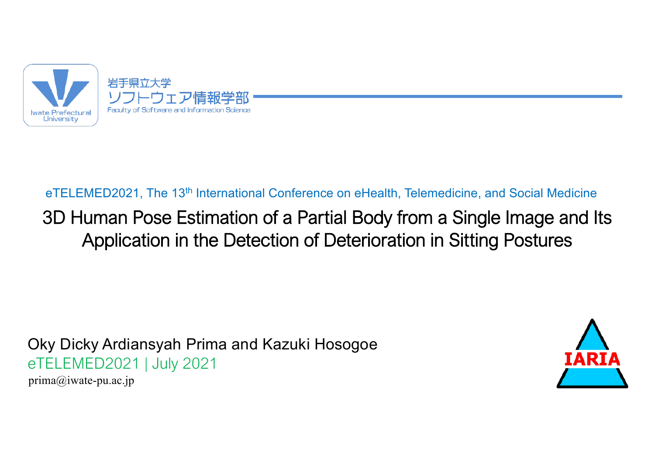

#### eTELEMED2021, The 13<sup>th</sup> International Conference on eHealth, Telemedicine, and Social Medicine

#### 3D Human Pose Estimation of a Partial Body from a Single Image and Its Application in the Detection of Deterioration in Sitting Postures

Oky Dicky Ardiansyah Prima and Kazuki Hosogoe eTELEMED2021 | July 2021



prima@iwate-pu.ac.jp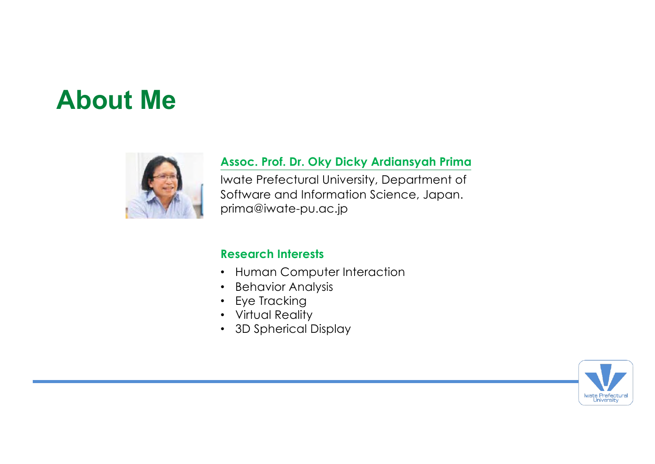# **About Me**



#### **Assoc. Prof. Dr. Oky Dicky Ardiansyah Prima**

Iwate Prefectural University, Department of Software and Information Science, Japan. prima@iwate-pu.ac.jp

#### **Research Interests**

- Human Computer Interaction
- Behavior Analysis
- Eye Tracking
- Virtual Reality
- 3D Spherical Display

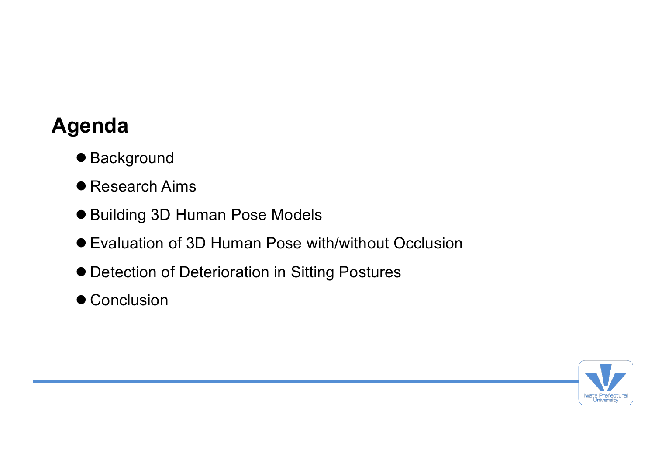## **Agenda**

- Background
- Research Aims
- Building 3D Human Pose Models
- Evaluation of 3D Human Pose with/without Occlusion
- $\bullet$  Detection of Deterioration in Sitting Postures
- Conclusion

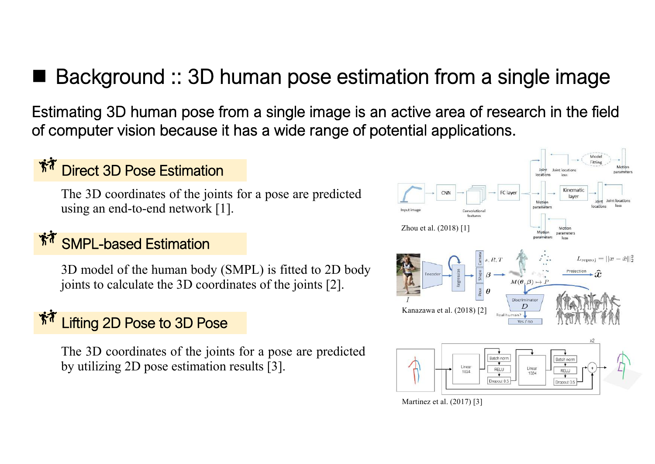## ■ Background :: 3D human pose estimation from a single image

Estimating 3D human pose from a single image is an active area of research in the field of computer vision because it has a wide range of potential applications.

#### Direct 3D Pose Estimation

The 3D coordinates of the joints for a pose are predicted using an end-to-end network [1].

#### SMPL-based Estimation

3D model of the human body (SMPL) is fitted to 2D body joints to calculate the 3D coordinates of the joints [2].

#### Lifting 2D Pose to 3D Pose

The 3D coordinates of the joints for a pose are predicted by utilizing 2D pose estimation results [3].

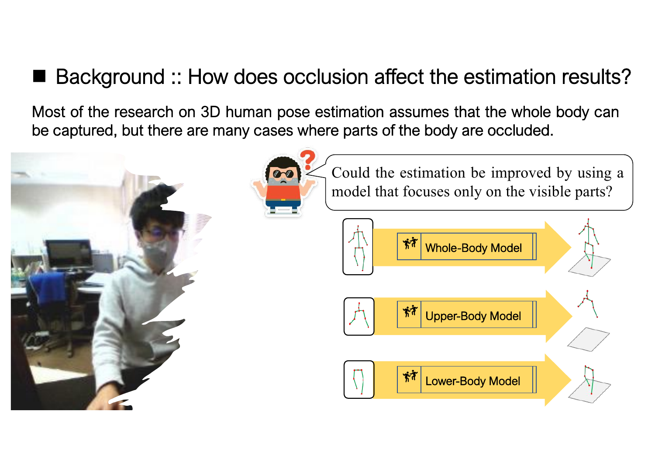### ■ Background :: How does occlusion affect the estimation results?

Most of the research on 3D human pose estimation assumes that the whole body can be captured, but there are many cases where parts of the body are occluded.





Could the estimation be improved by using a model that focuses only on the visible parts?

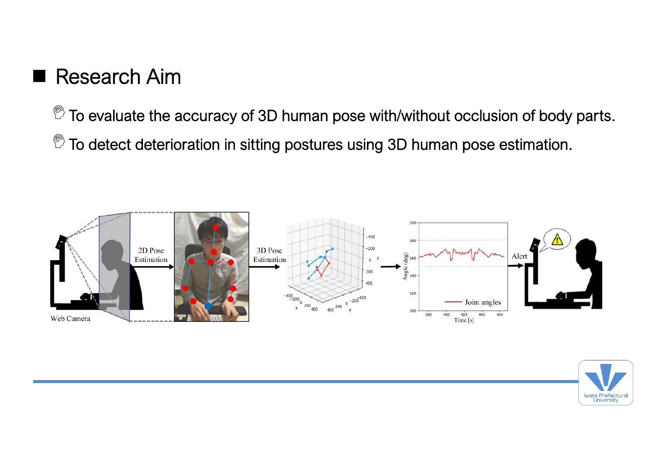### $\blacksquare$  Research Aim

 $\mathbb{P}$  To evaluate the accuracy of 3D human pose with/without occlusion of body parts.

 $\mathbb{P}$  To detect deterioration in sitting postures using 3D human pose estimation.



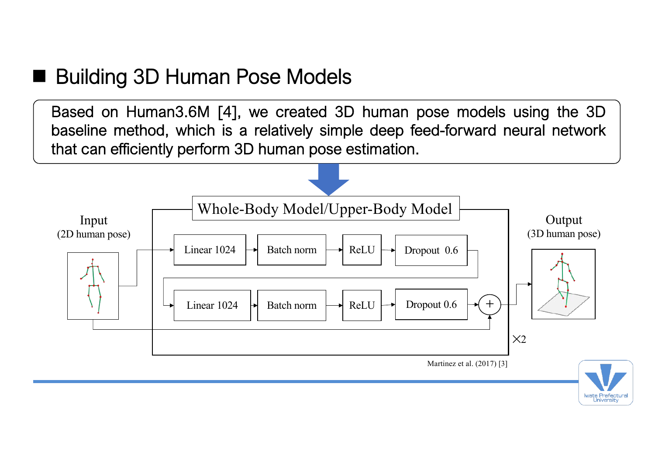#### ■ Building 3D Human Pose Models

Based on Human3.6M [4], we created 3D human pose models using the 3D baseline method, which is a relatively simple deep feed-forward neural network that can efficiently perform 3D human pose estimation.

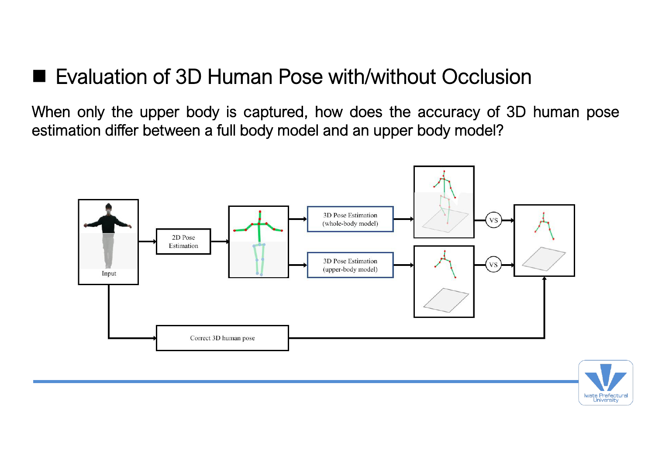#### ■ Evaluation of 3D Human Pose with/without Occlusion

When only the upper body is captured, how does the accuracy of 3D human pose estimation differ between a full body model and an upper body model?



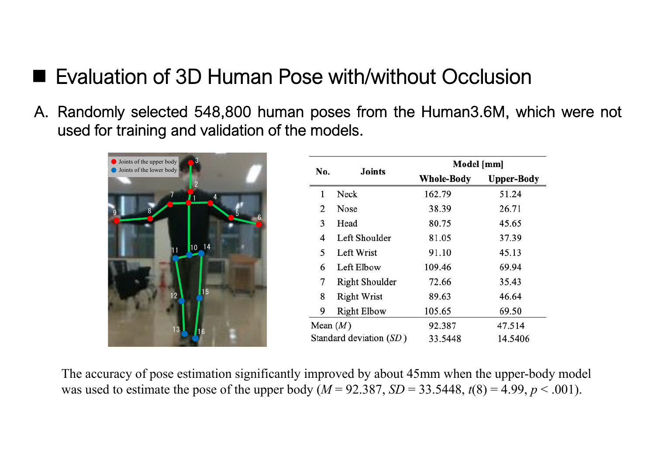### ■ Evaluation of 3D Human Pose with/without Occlusion

A. Randomly selected 548,800 human poses from the Human3.6M, which were not used for training and validation of the models.



| No.                     | <b>Joints</b>         | Model [mm]        |                   |
|-------------------------|-----------------------|-------------------|-------------------|
|                         |                       | <b>Whole-Body</b> | <b>Upper-Body</b> |
| 1                       | Neck                  | 162.79            | 51.24             |
| $\overline{2}$          | <b>Nose</b>           | 38.39             | 26.71             |
| 3                       | Head                  | 80.75             | 45.65             |
| 4                       | Left Shoulder         | 81.05             | 37.39             |
| 5                       | Left Wrist            | 91.10             | 45.13             |
| 6                       | Left Elbow            | 109.46            | 69.94             |
| $\overline{7}$          | <b>Right Shoulder</b> | 72.66             | 35.43             |
| 8                       | <b>Right Wrist</b>    | 89.63             | 46.64             |
| 9                       | <b>Right Elbow</b>    | 105.65            | 69.50             |
| Mean $(M)$              |                       | 92.387            | 47.514            |
| Standard deviation (SD) |                       | 33.5448           | 14.5406           |

The accuracy of pose estimation significantly improved by about 45mm when the upper-body model was used to estimate the pose of the upper body ( $M = 92.387$ ,  $SD = 33.5448$ ,  $t(8) = 4.99$ ,  $p < .001$ ).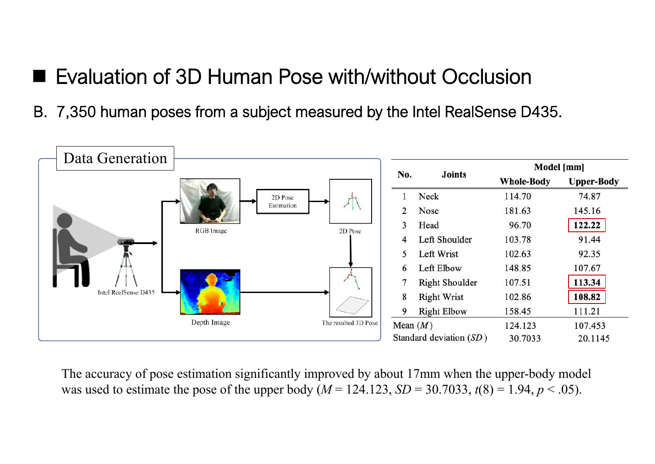#### ■ Evaluation of 3D Human Pose with/without Occlusion

B. 7,350 human poses from a subject measured by the Intel RealSense D435.



The accuracy of pose estimation significantly improved by about 17mm when the upper-body model was used to estimate the pose of the upper body  $(M = 124.123, SD = 30.7033, t(8) = 1.94, p < .05)$ .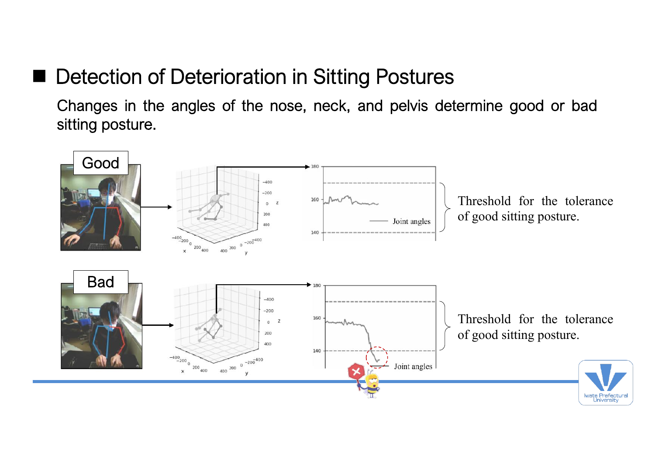### ■ Detection of Deterioration in Sitting Postures

Changes in the angles of the nose, neck, and pelvis determine good or bad sitting posture.

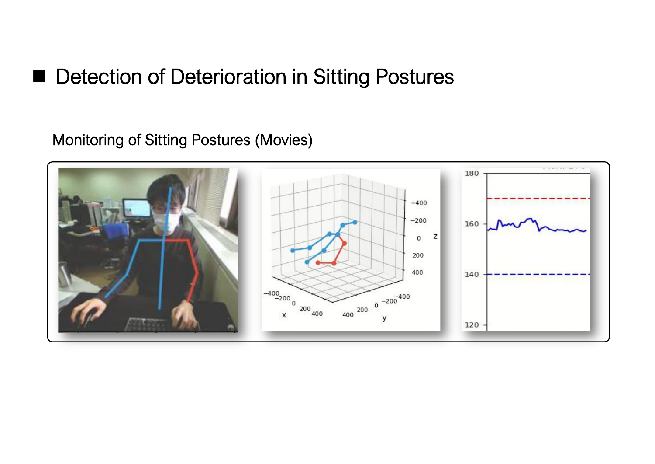#### ■ Detection of Deterioration in Sitting Postures

Monitoring of Sitting Postures (Movies)

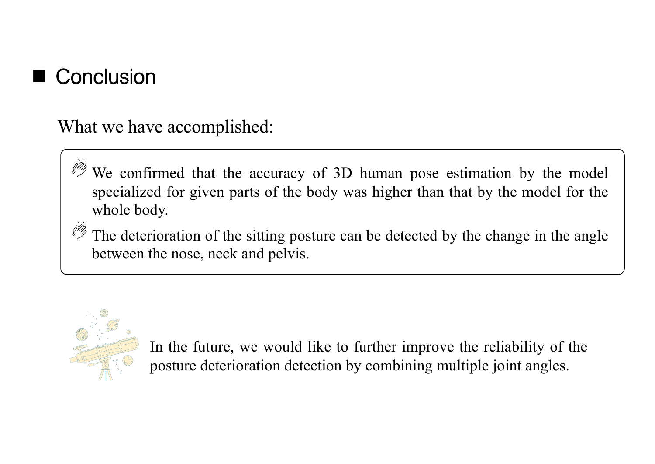

What we have accomplished:

We confirmed that the accuracy of 3D human pose estimation by the model specialized for given parts of the body was higher than that by the model for the whole body.

The deterioration of the sitting posture can be detected by the change in the angle between the nose, neck and pelvis.



In the future, we would like to further improve the reliability of the posture deterioration detection by combining multiple joint angles.